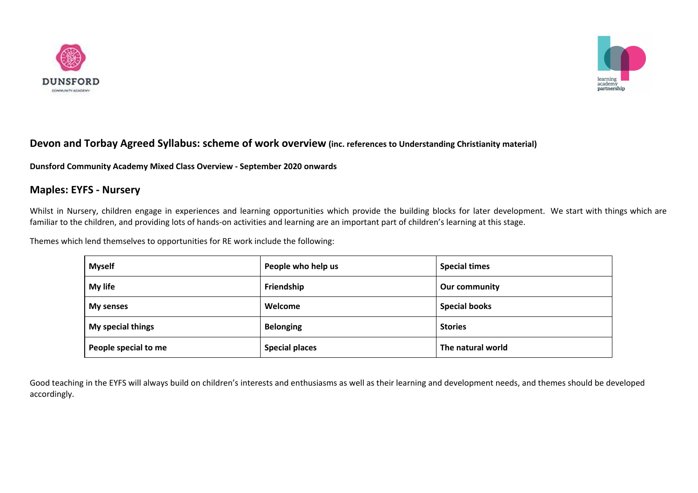



### **Devon and Torbay Agreed Syllabus: scheme of work overview (inc. references to Understanding Christianity material)**

**Dunsford Community Academy Mixed Class Overview - September 2020 onwards**

### **Maples: EYFS - Nursery**

Whilst in Nursery, children engage in experiences and learning opportunities which provide the building blocks for later development. We start with things which are familiar to the children, and providing lots of hands-on activities and learning are an important part of children's learning at this stage.

Themes which lend themselves to opportunities for RE work include the following:

| <b>Myself</b>        | People who help us    | <b>Special times</b> |
|----------------------|-----------------------|----------------------|
| My life              | Friendship            | Our community        |
| My senses            | Welcome               | <b>Special books</b> |
| My special things    | <b>Belonging</b>      | <b>Stories</b>       |
| People special to me | <b>Special places</b> | The natural world    |

Good teaching in the EYFS will always build on children's interests and enthusiasms as well as their learning and development needs, and themes should be developed accordingly.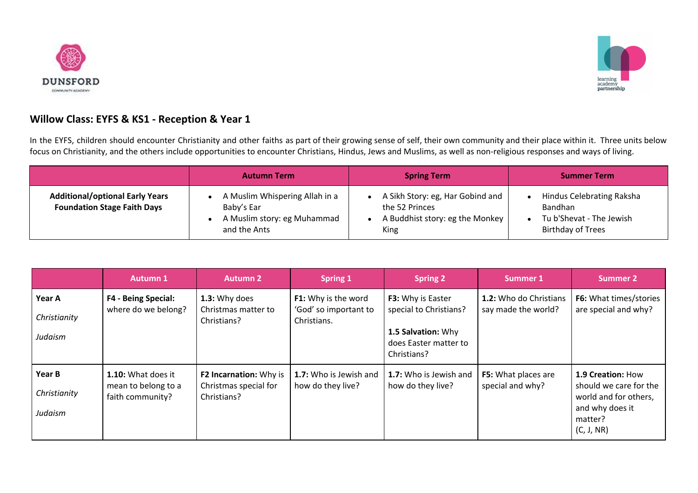



## **Willow Class: EYFS & KS1 - Reception & Year 1**

In the EYFS, children should encounter Christianity and other faiths as part of their growing sense of self, their own community and their place within it. Three units below focus on Christianity, and the others include opportunities to encounter Christians, Hindus, Jews and Muslims, as well as non-religious responses and ways of living.

|                                                                              | <b>Autumn Term</b>                                                                          | <b>Spring Term</b>                                                                            | <b>Summer Term</b>                                                                           |
|------------------------------------------------------------------------------|---------------------------------------------------------------------------------------------|-----------------------------------------------------------------------------------------------|----------------------------------------------------------------------------------------------|
| <b>Additional/optional Early Years</b><br><b>Foundation Stage Faith Days</b> | A Muslim Whispering Allah in a<br>Baby's Ear<br>A Muslim story: eg Muhammad<br>and the Ants | A Sikh Story: eg, Har Gobind and<br>the 52 Princes<br>A Buddhist story: eg the Monkey<br>King | Hindus Celebrating Raksha<br>Bandhan<br>Tu b'Shevat - The Jewish<br><b>Birthday of Trees</b> |

|                                   | <b>Autumn 1</b>                                               | <b>Autumn 2</b>                                                | <b>Spring 1</b>                                             | <b>Spring 2</b>                                                                                           | <b>Summer 1</b>                                      | <b>Summer 2</b>                                                                                                  |
|-----------------------------------|---------------------------------------------------------------|----------------------------------------------------------------|-------------------------------------------------------------|-----------------------------------------------------------------------------------------------------------|------------------------------------------------------|------------------------------------------------------------------------------------------------------------------|
| Year A<br>Christianity<br>Judaism | <b>F4 - Being Special:</b><br>where do we belong?             | 1.3: Why does<br>Christmas matter to<br>Christians?            | F1: Why is the word<br>'God' so important to<br>Christians. | F3: Why is Easter<br>special to Christians?<br>1.5 Salvation: Why<br>does Easter matter to<br>Christians? | <b>1.2:</b> Who do Christians<br>say made the world? | F6: What times/stories<br>are special and why?                                                                   |
| Year B<br>Christianity<br>Judaism | 1.10: What does it<br>mean to belong to a<br>faith community? | F2 Incarnation: Why is<br>Christmas special for<br>Christians? | 1.7: Who is Jewish and<br>how do they live?                 | 1.7: Who is Jewish and<br>how do they live?                                                               | <b>F5:</b> What places are<br>special and why?       | 1.9 Creation: How<br>should we care for the<br>world and for others,<br>and why does it<br>matter?<br>(C, J, NR) |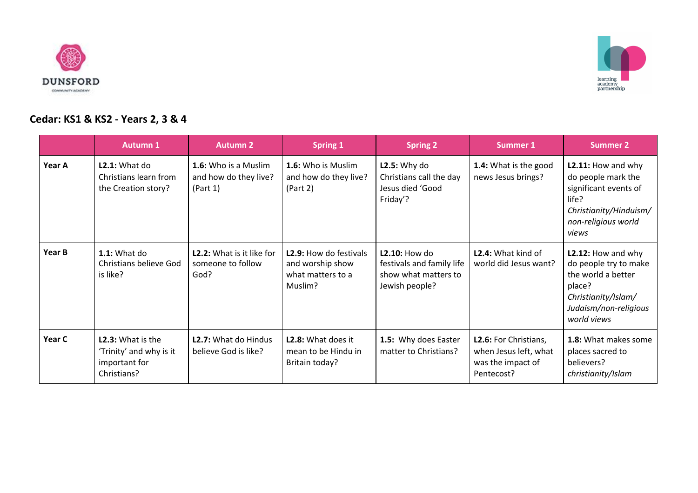



# **Cedar: KS1 & KS2 - Years 2, 3 & 4**

|        | <b>Autumn 1</b>                                                                     | <b>Autumn 2</b>                                           | <b>Spring 1</b>                                                            | <b>Spring 2</b>                                                                             | <b>Summer 1</b>                                                                   | <b>Summer 2</b>                                                                                                                            |
|--------|-------------------------------------------------------------------------------------|-----------------------------------------------------------|----------------------------------------------------------------------------|---------------------------------------------------------------------------------------------|-----------------------------------------------------------------------------------|--------------------------------------------------------------------------------------------------------------------------------------------|
| Year A | L2.1: What do<br>Christians learn from<br>the Creation story?                       | 1.6: Who is a Muslim<br>and how do they live?<br>(Part 1) | 1.6: Who is Muslim<br>and how do they live?<br>(Part 2)                    | $L2.5:$ Why do<br>Christians call the day<br>Jesus died 'Good<br>Friday'?                   | 1.4: What is the good<br>news Jesus brings?                                       | L2.11: How and why<br>do people mark the<br>significant events of<br>life?<br>Christianity/Hinduism/<br>non-religious world<br>views       |
| Year B | $1.1:$ What do<br>Christians believe God<br>is like?                                | L2.2: What is it like for<br>someone to follow<br>God?    | L2.9: How do festivals<br>and worship show<br>what matters to a<br>Muslim? | <b>L2.10: How do</b><br>festivals and family life<br>show what matters to<br>Jewish people? | <b>L2.4:</b> What kind of<br>world did Jesus want?                                | L2.12: How and why<br>do people try to make<br>the world a better<br>place?<br>Christianity/Islam/<br>Judaism/non-religious<br>world views |
| Year C | <b>L2.3:</b> What is the<br>'Trinity' and why is it<br>important for<br>Christians? | <b>L2.7:</b> What do Hindus<br>believe God is like?       | <b>L2.8:</b> What does it<br>mean to be Hindu in<br>Britain today?         | 1.5: Why does Easter<br>matter to Christians?                                               | L2.6: For Christians,<br>when Jesus left, what<br>was the impact of<br>Pentecost? | 1.8: What makes some<br>places sacred to<br>believers?<br>christianity/Islam                                                               |